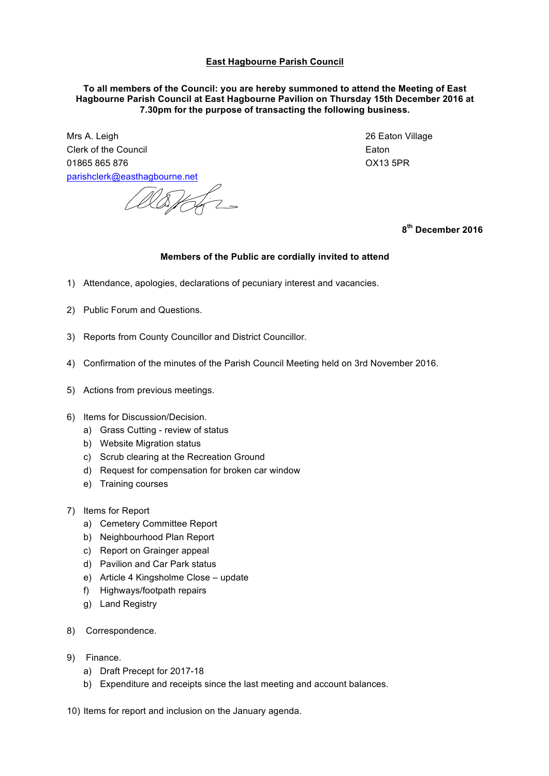## **East Hagbourne Parish Council**

## **To all members of the Council: you are hereby summoned to attend the Meeting of East Hagbourne Parish Council at East Hagbourne Pavilion on Thursday 15th December 2016 at 7.30pm for the purpose of transacting the following business.**

Mrs A. Leigh 26 Eaton Village Clerk of the Council Eaton 01865 865 876 OX13 5PR parishclerk@easthagbourne.net

Worth 2

**8th December 2016**

## **Members of the Public are cordially invited to attend**

- 1) Attendance, apologies, declarations of pecuniary interest and vacancies.
- 2) Public Forum and Questions.
- 3) Reports from County Councillor and District Councillor.
- 4) Confirmation of the minutes of the Parish Council Meeting held on 3rd November 2016.
- 5) Actions from previous meetings.
- 6) Items for Discussion/Decision.
	- a) Grass Cutting review of status
	- b) Website Migration status
	- c) Scrub clearing at the Recreation Ground
	- d) Request for compensation for broken car window
	- e) Training courses
- 7) Items for Report
	- a) Cemetery Committee Report
	- b) Neighbourhood Plan Report
	- c) Report on Grainger appeal
	- d) Pavilion and Car Park status
	- e) Article 4 Kingsholme Close update
	- f) Highways/footpath repairs
	- g) Land Registry
- 8) Correspondence.
- 9) Finance.
	- a) Draft Precept for 2017-18
	- b) Expenditure and receipts since the last meeting and account balances.
- 10) Items for report and inclusion on the January agenda.